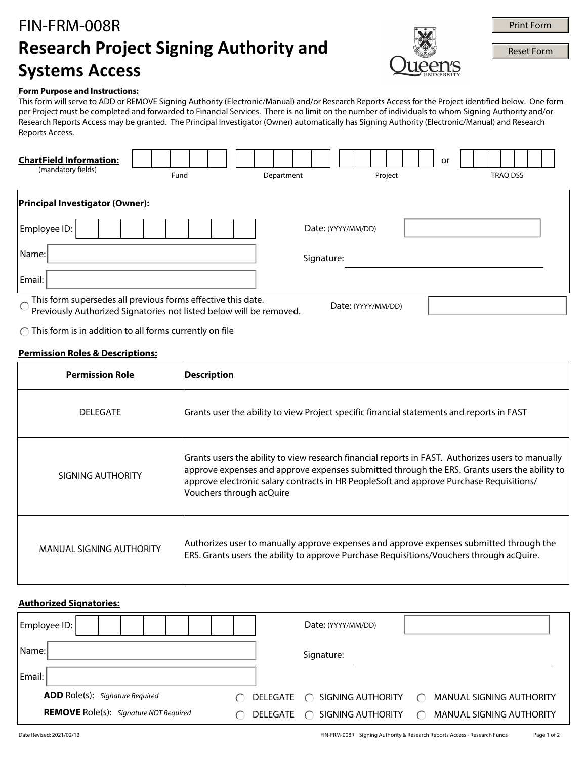# FIN-FRM-008R **Research Project Signing Authority and Systems Access**



**Print Form**<br>Reset Form

#### **Form Purpose and Instructions:**

This form will serve to ADD or REMOVE Signing Authority (Electronic/Manual) and/or Research Reports Access for the Project identified below. One form per Project must be completed and forwarded to Financial Services. There is no limit on the number of individuals to whom Signing Authority and/or Research Reports Access may be granted. The Principal Investigator (Owner) automatically has Signing Authority (Electronic/Manual) and Research Reports Access.

| <b>ChartField Information:</b><br>(mandatory fields) | Fund                                                                                                                                | Department | Project            | or<br><b>TRAQ DSS</b> |
|------------------------------------------------------|-------------------------------------------------------------------------------------------------------------------------------------|------------|--------------------|-----------------------|
| <b>Principal Investigator (Owner):</b>               |                                                                                                                                     |            |                    |                       |
| Employee ID:                                         |                                                                                                                                     |            | Date: (YYYY/MM/DD) |                       |
| Name:                                                |                                                                                                                                     | Signature: |                    |                       |
| Email:                                               |                                                                                                                                     |            |                    |                       |
| $\bigcirc$                                           | This form supersedes all previous forms effective this date.<br>Previously Authorized Signatories not listed below will be removed. |            | Date: (YYYY/MM/DD) |                       |

 $\bigcap$  This form is in addition to all forms currently on file

#### **Permission Roles & Descriptions:**

| <b>Permission Role</b>          | <b>Description</b>                                                                                                                                                                                                                                                                                                       |
|---------------------------------|--------------------------------------------------------------------------------------------------------------------------------------------------------------------------------------------------------------------------------------------------------------------------------------------------------------------------|
| <b>DELEGATE</b>                 | Grants user the ability to view Project specific financial statements and reports in FAST                                                                                                                                                                                                                                |
| SIGNING AUTHORITY               | Grants users the ability to view research financial reports in FAST. Authorizes users to manually<br>approve expenses and approve expenses submitted through the ERS. Grants users the ability to<br>approve electronic salary contracts in HR PeopleSoft and approve Purchase Requisitions/<br>Vouchers through acQuire |
| <b>MANUAL SIGNING AUTHORITY</b> | Authorizes user to manually approve expenses and approve expenses submitted through the<br>ERS. Grants users the ability to approve Purchase Requisitions/Vouchers through acQuire.                                                                                                                                      |

### **Authorized Signatories:**

| <b>Employee ID:</b>                           |          | Date: (YYYY/MM/DD)          |                                           |
|-----------------------------------------------|----------|-----------------------------|-------------------------------------------|
| Name:                                         |          | Signature:                  |                                           |
| Email:                                        |          |                             |                                           |
| <b>ADD</b> Role(s): Signature Required<br>◯   |          |                             | <b>MANUAL SIGNING AUTHORITY</b><br>$\cap$ |
| <b>REMOVE</b> Role(s): Signature NOT Required | DELEGATE | SIGNING AUTHORITY<br>$\cap$ | MANUAL SIGNING AUTHORITY                  |